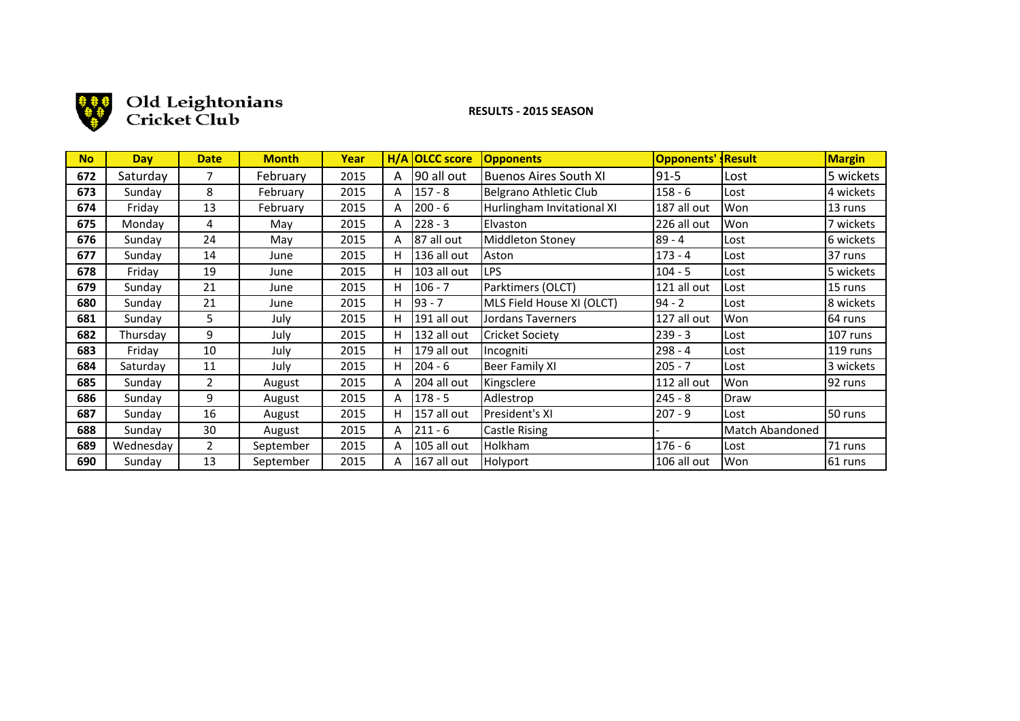

# and Old Leightonians

## **!!!!!!!!!!!!!!!!!!!RESULTS!(!2015!SEASON**

| <b>No</b> | <b>Day</b> | <b>Date</b>    | <b>Month</b> | Year |   | H/A OLCC score | <b>Opponents</b>             | <b>Opponents'</b> | <b>Result</b>          | <b>Margin</b> |
|-----------|------------|----------------|--------------|------|---|----------------|------------------------------|-------------------|------------------------|---------------|
| 672       | Saturday   | 7              | February     | 2015 | A | 90 all out     | <b>Buenos Aires South XI</b> | $91 - 5$          | Lost                   | 5 wickets     |
| 673       | Sunday     | 8              | February     | 2015 | A | 157 - 8        | Belgrano Athletic Club       | $158 - 6$         | Lost                   | 4 wickets     |
| 674       | Friday     | 13             | February     | 2015 | A | $200 - 6$      | Hurlingham Invitational XI   | 187 all out       | Won                    | 13 runs       |
| 675       | Monday     | 4              | May          | 2015 | A | $ 228 - 3$     | Elvaston                     | 226 all out       | Won                    | 7 wickets     |
| 676       | Sunday     | 24             | May          | 2015 | A | 87 all out     | Middleton Stoney             | 89 - 4            | Lost                   | 6 wickets     |
| 677       | Sunday     | 14             | June         | 2015 | н | 136 all out    | Aston                        | $173 - 4$         | Lost                   | 37 runs       |
| 678       | Friday     | 19             | June         | 2015 | н | 103 all out    | <b>LPS</b>                   | $104 - 5$         | Lost                   | 5 wickets     |
| 679       | Sunday     | 21             | June         | 2015 | н | $106 - 7$      | Parktimers (OLCT)            | 121 all out       | Lost                   | 15 runs       |
| 680       | Sunday     | 21             | June         | 2015 | н | 93 - 7         | MLS Field House XI (OLCT)    | 94 - 2            | Lost                   | 8 wickets     |
| 681       | Sunday     | 5              | July         | 2015 | н | 191 all out    | Jordans Taverners            | 127 all out       | Won                    | 64 runs       |
| 682       | Thursday   | 9              | July         | 2015 | н | 132 all out    | <b>Cricket Society</b>       | $239 - 3$         | Lost                   | 107 runs      |
| 683       | Friday     | 10             | July         | 2015 | н | 179 all out    | Incogniti                    | $298 - 4$         | Lost                   | 119 runs      |
| 684       | Saturday   | 11             | July         | 2015 | н | $204 - 6$      | Beer Family XI               | $205 - 7$         | Lost                   | 3 wickets     |
| 685       | Sundav     | 2              | August       | 2015 | A | 204 all out    | Kingsclere                   | 112 all out       | Won                    | 92 runs       |
| 686       | Sundav     | 9              | August       | 2015 | A | $178 - 5$      | Adlestrop                    | $245 - 8$         | Draw                   |               |
| 687       | Sunday     | 16             | August       | 2015 | н | 157 all out    | President's XI               | $207 - 9$         | Lost                   | 50 runs       |
| 688       | Sundav     | 30             | August       | 2015 | A | $ 211 - 6 $    | Castle Rising                |                   | <b>Match Abandoned</b> |               |
| 689       | Wednesday  | $\overline{2}$ | September    | 2015 | A | 105 all out    | Holkham                      | $176 - 6$         | Lost                   | 71 runs       |
| 690       | Sunday     | 13             | September    | 2015 | A | 167 all out    | Holyport                     | 106 all out       | Won                    | 61 runs       |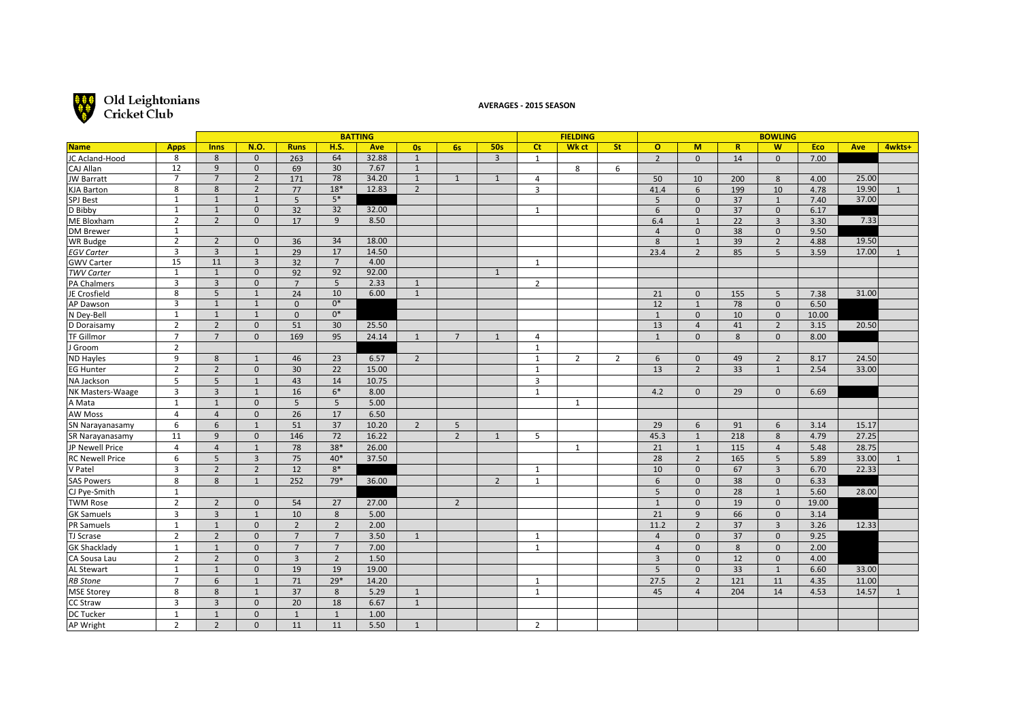

## **Old Leightonians**<br> **Cricket Club**

#### **AVERAGES - 2015 SEASON**

|                        |                   |                |                |                 |                 | <b>BATTING</b> |                |                 |                |                | <b>FIELDING</b> |                |                |                |              | <b>BOWLING</b> |       |       |        |
|------------------------|-------------------|----------------|----------------|-----------------|-----------------|----------------|----------------|-----------------|----------------|----------------|-----------------|----------------|----------------|----------------|--------------|----------------|-------|-------|--------|
| <b>Name</b>            | <b>Apps</b>       | <b>Inns</b>    | <b>N.O.</b>    | <b>Runs</b>     | H.S.            | Ave            | 0s             | 6s              | <b>50s</b>     | <b>Ct</b>      | Wk ct           | <b>St</b>      | $\mathbf{o}$   | M              | $\mathbb{R}$ | W              | Eco   | Ave   | 4wkts+ |
| JC Acland-Hood         | 8                 | 8              | $\mathbf{0}$   | 263             | 64              | 32.88          | $\mathbf{1}$   |                 | 3              | $\mathbf{1}$   |                 |                | $\overline{2}$ | $\Omega$       | 14           | $\Omega$       | 7.00  |       |        |
| CAJ Allan              | 12                | 9              | $\mathbf 0$    | 69              | $\overline{30}$ | 7.67           | 1              |                 |                |                | 8               | 6              |                |                |              |                |       |       |        |
| <b>JW Barratt</b>      | $\overline{7}$    | $\overline{7}$ | $\overline{2}$ | 171             | $\overline{78}$ | 34.20          | 1              | $\mathbf{1}$    | $\mathbf{1}$   | 4              |                 |                | 50             | 10             | 200          | 8              | 4.00  | 25.00 |        |
| <b>KJA Barton</b>      | 8                 | 8              | $\overline{2}$ | 77              | $18*$           | 12.83          | $\overline{2}$ |                 |                | $\overline{3}$ |                 |                | 41.4           | 6              | 199          | 10             | 4.78  | 19.90 |        |
| <b>SPJ Best</b>        | $\mathbf{1}$      | $\mathbf{1}$   | $\mathbf{1}$   | 5               | $5*$            |                |                |                 |                |                |                 |                | 5              | $\mathbf{0}$   | 37           | $\mathbf{1}$   | 7.40  | 37.00 |        |
| D Bibby                | $\mathbf{1}$      | $\mathbf{1}$   | $\overline{0}$ | $\overline{32}$ | $\overline{32}$ | 32.00          |                |                 |                | $\mathbf{1}$   |                 |                | 6              | $\mathbf{0}$   | 37           | $\mathbf 0$    | 6.17  |       |        |
| <b>ME Bloxham</b>      | $\overline{2}$    | $\overline{2}$ | $\mathbf{0}$   | 17              | 9               | 8.50           |                |                 |                |                |                 |                | 6.4            | $\mathbf{1}$   | 22           | $\overline{3}$ | 3.30  | 7.33  |        |
| DM Brewer              | $\mathbf{1}$      |                |                |                 |                 |                |                |                 |                |                |                 |                | $\overline{4}$ | $\mathbf{0}$   | 38           | $\mathbf{0}$   | 9.50  |       |        |
| WR Budge               | $\overline{2}$    | $\overline{2}$ | $\mathbf 0$    | 36              | $\overline{34}$ | 18.00          |                |                 |                |                |                 |                | 8              | $\mathbf{1}$   | 39           | $\overline{2}$ | 4.88  | 19.50 |        |
| <b>EGV Carter</b>      | 3                 | $\overline{3}$ | $\mathbf{1}$   | 29              | 17              | 14.50          |                |                 |                |                |                 |                | 23.4           | $\overline{2}$ | 85           | 5              | 3.59  | 17.00 |        |
| <b>GWV Carter</b>      | 15                | 11             | $\overline{3}$ | 32              | $\overline{7}$  | 4.00           |                |                 |                | 1              |                 |                |                |                |              |                |       |       |        |
| <b>TWV Carter</b>      | 1                 | $\mathbf{1}$   | $\mathbf{0}$   | 92              | 92              | 92.00          |                |                 | 1              |                |                 |                |                |                |              |                |       |       |        |
| <b>PA Chalmers</b>     | 3                 | $\overline{3}$ | $\mathbf{0}$   | $\overline{7}$  | $\overline{5}$  | 2.33           | $\mathbf{1}$   |                 |                | $\overline{2}$ |                 |                |                |                |              |                |       |       |        |
| JE Crosfield           | 8                 | 5              | $\mathbf{1}$   | 24              | 10              | 6.00           | $\mathbf{1}$   |                 |                |                |                 |                | 21             | $\mathbf{0}$   | 155          | 5              | 7.38  | 31.00 |        |
| AP Dawson              | 3<br>$\mathbf{1}$ | $\mathbf{1}$   | $\mathbf{1}$   | $\mathbf{0}$    | $0*$<br>$0*$    |                |                |                 |                |                |                 |                | 12             | $\mathbf{1}$   | 78           | $\mathbf{0}$   | 6.50  |       |        |
| N Dey-Bell             |                   | $\mathbf{1}$   | $\mathbf{1}$   | $\mathbf 0$     |                 |                |                |                 |                |                |                 |                | $\mathbf{1}$   | $\mathbf{0}$   | 10           | $\mathbf 0$    | 10.00 |       |        |
| D Doraisamy            | $\overline{2}$    | $\overline{2}$ | $\mathbf{0}$   | 51              | 30              | 25.50          |                |                 |                |                |                 |                | 13             | $\overline{4}$ | 41           | $\overline{2}$ | 3.15  | 20.50 |        |
| <b>TF Gillmor</b>      | $\overline{7}$    | $\overline{7}$ | $\mathbf{0}$   | 169             | 95              | 24.14          | $\mathbf{1}$   | $7\overline{ }$ | $\mathbf{1}$   | 4              |                 |                | $\mathbf{1}$   | $\mathbf{0}$   | 8            | $\mathbf{0}$   | 8.00  |       |        |
| J Groom                | $\overline{2}$    |                |                |                 |                 |                |                |                 |                | $\mathbf{1}$   |                 |                |                |                |              |                |       |       |        |
| <b>ND Hayles</b>       | 9                 | 8              | $\mathbf{1}$   | 46              | 23              | 6.57           | $\overline{2}$ |                 |                | $\mathbf{1}$   | $\overline{2}$  | $\overline{2}$ | 6              | $\Omega$       | 49           | $\overline{2}$ | 8.17  | 24.50 |        |
| <b>EG Hunter</b>       | $\overline{2}$    | $\overline{2}$ | $\mathbf{0}$   | 30              | 22              | 15.00          |                |                 |                | $\mathbf{1}$   |                 |                | 13             | $\overline{2}$ | 33           | $\mathbf{1}$   | 2.54  | 33.00 |        |
| NA Jackson             | 5                 | 5              | $\mathbf{1}$   | 43              | 14              | 10.75          |                |                 |                | 3              |                 |                |                |                |              |                |       |       |        |
| NK Masters-Waage       | 3                 | $\overline{3}$ | $\mathbf{1}$   | 16              | $6*$            | 8.00           |                |                 |                | $\mathbf{1}$   |                 |                | 4.2            | $\mathbf{0}$   | 29           | $\mathbf{0}$   | 6.69  |       |        |
| A Mata                 | $\mathbf{1}$      | $\mathbf{1}$   | $\mathbf{0}$   | 5               | 5               | 5.00           |                |                 |                |                | $\mathbf{1}$    |                |                |                |              |                |       |       |        |
| <b>AW Moss</b>         | $\overline{4}$    | $\overline{4}$ | $\mathbf{0}$   | 26              | 17              | 6.50           |                |                 |                |                |                 |                |                |                |              |                |       |       |        |
| SN Narayanasamy        | 6                 | $6\,$          | $\mathbf{1}$   | 51              | 37              | 10.20          | $\overline{2}$ | 5               |                |                |                 |                | 29             | 6              | 91           | 6              | 3.14  | 15.17 |        |
| SR Narayanasamy        | 11                | $\overline{9}$ | $\mathbf{0}$   | 146             | $\overline{72}$ | 16.22          |                | $\overline{2}$  | $\mathbf{1}$   | 5              |                 |                | 45.3           | $\mathbf{1}$   | 218          | 8              | 4.79  | 27.25 |        |
| JP Newell Price        | $\overline{4}$    | $\overline{4}$ | $\mathbf{1}$   | 78              | $38*$           | 26.00          |                |                 |                |                | 1               |                | 21             | 1              | 115          | $\overline{4}$ | 5.48  | 28.75 |        |
| <b>RC Newell Price</b> | 6                 | 5              | $\overline{3}$ | 75              | $40*$           | 37.50          |                |                 |                |                |                 |                | 28             | $\overline{2}$ | 165          | 5              | 5.89  | 33.00 | 1      |
| V Patel                | $\overline{3}$    | $\overline{2}$ | $\overline{2}$ | 12              | $8*$            |                |                |                 |                | $\mathbf{1}$   |                 |                | 10             | $\mathbf{0}$   | 67           | $\overline{3}$ | 6.70  | 22.33 |        |
| <b>SAS Powers</b>      | 8                 | 8              | $\mathbf{1}$   | 252             | 79*             | 36.00          |                |                 | $\overline{2}$ | $\mathbf{1}$   |                 |                | 6              | $\mathbf{0}$   | 38           | $\mathbf{0}$   | 6.33  |       |        |
| CJ Pye-Smith           | $\mathbf{1}$      |                |                |                 |                 |                |                |                 |                |                |                 |                | 5              | $\mathbf{0}$   | 28           | $\mathbf{1}$   | 5.60  | 28.00 |        |
| <b>TWM Rose</b>        | $\overline{2}$    | $\overline{2}$ | $\Omega$       | 54              | 27              | 27.00          |                | $\overline{2}$  |                |                |                 |                | $\mathbf{1}$   | $\Omega$       | 19           | $\mathbf{0}$   | 19.00 |       |        |
| <b>GK Samuels</b>      | 3                 | $\overline{3}$ | $\mathbf{1}$   | 10              | 8               | 5.00           |                |                 |                |                |                 |                | 21             | 9              | 66           | $\mathbf{0}$   | 3.14  |       |        |
| PR Samuels             | $\mathbf{1}$      | $\mathbf{1}$   | $\mathbf{0}$   | $\overline{2}$  | $\overline{2}$  | 2.00           |                |                 |                |                |                 |                | 11.2           | $\overline{2}$ | 37           | $\overline{3}$ | 3.26  | 12.33 |        |
| TJ Scrase              | $\overline{2}$    | $\overline{2}$ | $\mathbf{0}$   | $\overline{7}$  | $\overline{7}$  | 3.50           | $\mathbf{1}$   |                 |                | $\mathbf{1}$   |                 |                | $\overline{4}$ | $\mathbf{0}$   | 37           | $\mathbf{0}$   | 9.25  |       |        |
| <b>GK Shacklady</b>    | $\mathbf{1}$      | $\mathbf{1}$   | $\mathbf{0}$   | $\overline{7}$  | $\overline{7}$  | 7.00           |                |                 |                | $\mathbf{1}$   |                 |                | $\overline{4}$ | $\mathbf{0}$   | 8            | $\mathbf{0}$   | 2.00  |       |        |
| CA Sousa Lau           | $\overline{2}$    | $\overline{2}$ | $\mathbf{0}$   | $\overline{3}$  | $\overline{2}$  | 1.50           |                |                 |                |                |                 |                | $\overline{3}$ | $\Omega$       | 12           | $\mathbf{0}$   | 4.00  |       |        |
| <b>AL Stewart</b>      | $\mathbf{1}$      | $\mathbf{1}$   | $\mathbf{0}$   | 19              | 19              | 19.00          |                |                 |                |                |                 |                | 5              | $\Omega$       | 33           | $\mathbf{1}$   | 6.60  | 33.00 |        |
| <b>RB</b> Stone        | $\overline{7}$    | 6              | $\mathbf{1}$   | 71              | $29*$           | 14.20          |                |                 |                | $\mathbf{1}$   |                 |                | 27.5           | $\overline{2}$ | 121          | 11             | 4.35  | 11.00 |        |
| <b>MSE Storey</b>      | 8                 | 8              | $\mathbf{1}$   | 37              | 8               | 5.29           | $\mathbf{1}$   |                 |                | $\mathbf{1}$   |                 |                | 45             | $\overline{4}$ | 204          | 14             | 4.53  | 14.57 |        |
| <b>CC Straw</b>        | 3                 | $\overline{3}$ | $\mathbf{0}$   | 20              | 18              | 6.67           | $\mathbf{1}$   |                 |                |                |                 |                |                |                |              |                |       |       |        |
| DC Tucker              | $\mathbf{1}$      | $\mathbf{1}$   | $\mathbf{0}$   | $\mathbf{1}$    | $\mathbf{1}$    | 1.00           |                |                 |                |                |                 |                |                |                |              |                |       |       |        |
| AP Wright              | $\overline{2}$    | $\overline{2}$ | $\Omega$       | 11              | 11              | 5.50           | $\mathbf{1}$   |                 |                | $\overline{2}$ |                 |                |                |                |              |                |       |       |        |
|                        |                   |                |                |                 |                 |                |                |                 |                |                |                 |                |                |                |              |                |       |       |        |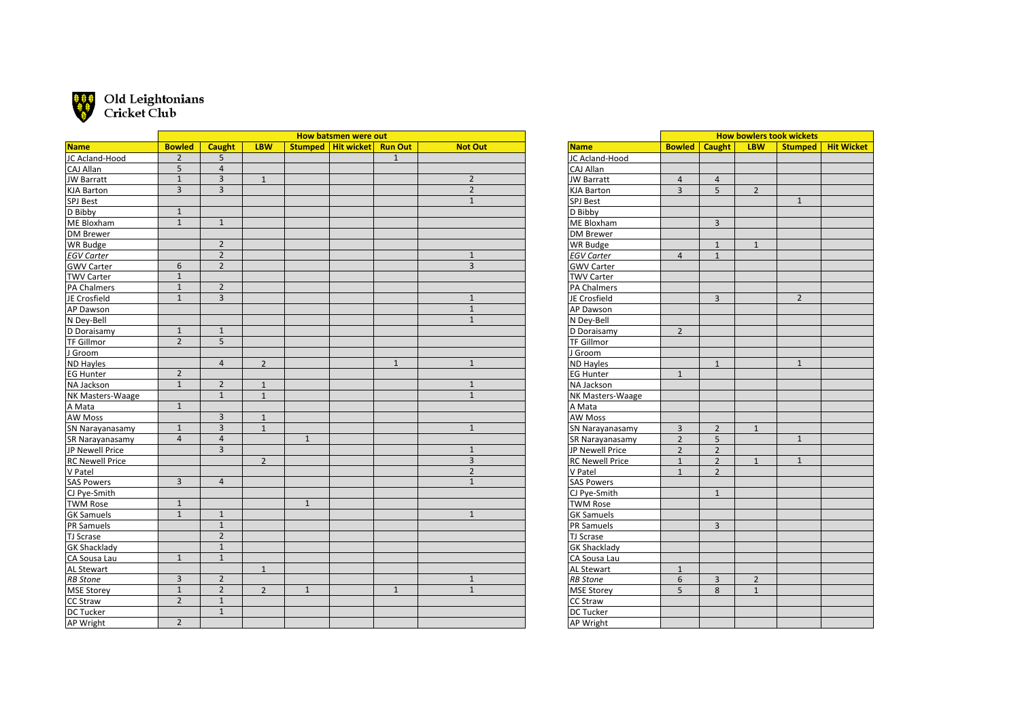

## $\frac{1}{2}$  Old Leightonians<br>  $\frac{1}{2}$  Cricket Club

|                        |                |                         |                |              | How batsmen were out |                |                |
|------------------------|----------------|-------------------------|----------------|--------------|----------------------|----------------|----------------|
| <b>Name</b>            | <b>Bowled</b>  | <b>Caught</b>           | <b>LBW</b>     |              | Stumped   Hit wicket | <b>Run Out</b> | <b>Not Out</b> |
| JC Acland-Hood         | $\overline{2}$ | 5                       |                |              |                      | $\mathbf{1}$   |                |
| CAJ Allan              | $\overline{5}$ | $\overline{\mathbf{4}}$ |                |              |                      |                |                |
| JW Barratt             | $\overline{1}$ | $\overline{3}$          | $1\,$          |              |                      |                | $\overline{2}$ |
| KJA Barton             | $\overline{3}$ | $\overline{3}$          |                |              |                      |                | $\overline{2}$ |
| SPJ Best               |                |                         |                |              |                      |                | $\mathbf{1}$   |
| D Bibby                | $\mathbf 1$    |                         |                |              |                      |                |                |
| ME Bloxham             | $\mathbf{1}$   | $\mathbf{1}$            |                |              |                      |                |                |
| DM Brewer              |                |                         |                |              |                      |                |                |
| WR Budge               |                | $\overline{2}$          |                |              |                      |                |                |
| <b>EGV Carter</b>      |                | $\overline{2}$          |                |              |                      |                | $1\,$          |
| <b>GWV Carter</b>      | 6              | $\overline{2}$          |                |              |                      |                | $\overline{3}$ |
| TWV Carter             | $\mathbf{1}$   |                         |                |              |                      |                |                |
| PA Chalmers            | $1\,$          | $\overline{2}$          |                |              |                      |                |                |
| JE Crosfield           | $\overline{1}$ | $\overline{3}$          |                |              |                      |                | $\mathbf{1}$   |
| AP Dawson              |                |                         |                |              |                      |                | $\overline{1}$ |
| N Dey-Bell             |                |                         |                |              |                      |                | $\mathbf{1}$   |
| D Doraisamy            | $\mathbf{1}$   | $\mathbf{1}$            |                |              |                      |                |                |
| TF Gillmor             | $\overline{2}$ | 5                       |                |              |                      |                |                |
| J Groom                |                |                         |                |              |                      |                |                |
| ND Hayles              |                | $\overline{4}$          | $\overline{2}$ |              |                      | $\mathbf{1}$   | $1\,$          |
| EG Hunter              | $\overline{2}$ |                         |                |              |                      |                |                |
| NA Jackson             | $\overline{1}$ | $\overline{2}$          | $\mathbf{1}$   |              |                      |                | $\mathbf{1}$   |
| NK Masters-Waage       |                | $\overline{1}$          | $\mathbf{1}$   |              |                      |                | $\mathbf{1}$   |
| A Mata                 | $1\,$          |                         |                |              |                      |                |                |
| <b>AW Moss</b>         |                | 3                       | $\mathbf 1$    |              |                      |                |                |
| SN Narayanasamy        | $\mathbf 1$    | 3                       | $\mathbf{1}$   |              |                      |                | $\mathbf{1}$   |
| SR Narayanasamy        | $\overline{4}$ | $\overline{4}$          |                | $\mathbf{1}$ |                      |                |                |
| JP Newell Price        |                | $\overline{3}$          |                |              |                      |                | $\mathbf{1}$   |
| <b>RC Newell Price</b> |                |                         | $\overline{2}$ |              |                      |                | 3              |
| V Patel                |                |                         |                |              |                      |                | $\overline{2}$ |
| <b>SAS Powers</b>      | $\overline{3}$ | $\overline{4}$          |                |              |                      |                | $\mathbf{1}$   |
| CJ Pye-Smith           |                |                         |                |              |                      |                |                |
| <b>TWM Rose</b>        | $1\,$          |                         |                | $\mathbf{1}$ |                      |                |                |
| <b>GK Samuels</b>      | $\overline{1}$ | $\mathbf{1}$            |                |              |                      |                | $\mathbf{1}$   |
| PR Samuels             |                | $\mathbf{1}$            |                |              |                      |                |                |
| TJ Scrase              |                | $\overline{2}$          |                |              |                      |                |                |
| <b>GK Shacklady</b>    |                | $\overline{1}$          |                |              |                      |                |                |
| CA Sousa Lau           | $\overline{1}$ | $\mathbf{1}$            |                |              |                      |                |                |
| AL Stewart             |                |                         | $\mathbf{1}$   |              |                      |                |                |
| <b>RB</b> Stone        | 3              | $\overline{2}$          |                |              |                      |                | $\mathbf{1}$   |
| MSE Storey             | $\mathbf{1}$   | $\overline{2}$          | $\overline{2}$ | $\mathbf{1}$ |                      | $\mathbf{1}$   | $\mathbf{1}$   |
| CC Straw               | $\overline{2}$ | $\overline{1}$          |                |              |                      |                |                |
| DC Tucker              |                | $\mathbf{1}$            |                |              |                      |                |                |
| AP Wright              | $\overline{2}$ |                         |                |              |                      |                |                |
|                        |                |                         |                |              |                      |                |                |

|                        | <b>How bowlers took wickets</b> |                |                |                |                   |  |  |  |
|------------------------|---------------------------------|----------------|----------------|----------------|-------------------|--|--|--|
| <b>Name</b>            | <b>Bowled</b>                   | <b>Caught</b>  | <b>LBW</b>     | <b>Stumped</b> | <b>Hit Wicket</b> |  |  |  |
| JC Acland-Hood         |                                 |                |                |                |                   |  |  |  |
| CAJ Allan              |                                 |                |                |                |                   |  |  |  |
| <b>JW Barratt</b>      | $\overline{4}$                  | 4              |                |                |                   |  |  |  |
| <b>KJA Barton</b>      | ξ                               | 5              | $\overline{2}$ |                |                   |  |  |  |
| <b>SPJ Best</b>        |                                 |                |                | $\mathbf{1}$   |                   |  |  |  |
| D Bibby                |                                 |                |                |                |                   |  |  |  |
| ME Bloxham             |                                 | 3              |                |                |                   |  |  |  |
| <b>DM Brewer</b>       |                                 |                |                |                |                   |  |  |  |
| <b>WR Budge</b>        |                                 | $\mathbf{1}$   | $\mathbf{1}$   |                |                   |  |  |  |
| <b>EGV Carter</b>      | $\overline{4}$                  | $\mathbf{1}$   |                |                |                   |  |  |  |
| <b>GWV Carter</b>      |                                 |                |                |                |                   |  |  |  |
| <b>TWV Carter</b>      |                                 |                |                |                |                   |  |  |  |
| <b>PA Chalmers</b>     |                                 |                |                |                |                   |  |  |  |
| JE Crosfield           |                                 | 3              |                | $\overline{2}$ |                   |  |  |  |
| AP Dawson              |                                 |                |                |                |                   |  |  |  |
| N Dey-Bell             |                                 |                |                |                |                   |  |  |  |
| D Doraisamy            | $\overline{2}$                  |                |                |                |                   |  |  |  |
| <b>TF Gillmor</b>      |                                 |                |                |                |                   |  |  |  |
| J Groom                |                                 |                |                |                |                   |  |  |  |
| <b>ND Hayles</b>       |                                 | $\mathbf{1}$   |                | $\mathbf{1}$   |                   |  |  |  |
| <b>EG Hunter</b>       | $\mathbf{1}$                    |                |                |                |                   |  |  |  |
| NA Jackson             |                                 |                |                |                |                   |  |  |  |
| NK Masters-Waage       |                                 |                |                |                |                   |  |  |  |
| A Mata                 |                                 |                |                |                |                   |  |  |  |
| AW Moss                |                                 |                |                |                |                   |  |  |  |
| SN Narayanasamy        | 3                               | $\overline{2}$ | $\overline{1}$ |                |                   |  |  |  |
| SR Narayanasamy        | $\overline{2}$                  | 5              |                | $\overline{1}$ |                   |  |  |  |
| JP Newell Price        | $\overline{2}$                  | $\overline{2}$ |                |                |                   |  |  |  |
| <b>RC Newell Price</b> | $\mathbf{1}$                    | $\overline{2}$ | $\mathbf{1}$   | $\mathbf{1}$   |                   |  |  |  |
| V Patel                | $\mathbf{1}$                    | $\overline{2}$ |                |                |                   |  |  |  |
| <b>SAS Powers</b>      |                                 |                |                |                |                   |  |  |  |
| CJ Pye-Smith           |                                 | $\mathbf{1}$   |                |                |                   |  |  |  |
| <b>TWM Rose</b>        |                                 |                |                |                |                   |  |  |  |
| <b>GK Samuels</b>      |                                 |                |                |                |                   |  |  |  |
| PR Samuels             |                                 | 3              |                |                |                   |  |  |  |
| TJ Scrase              |                                 |                |                |                |                   |  |  |  |
| <b>GK Shacklady</b>    |                                 |                |                |                |                   |  |  |  |
| CA Sousa Lau           |                                 |                |                |                |                   |  |  |  |
| AL Stewart             | $\mathbf{1}$                    |                |                |                |                   |  |  |  |
| <b>RB</b> Stone        | 6                               | 3              | $\overline{2}$ |                |                   |  |  |  |
| <b>MSE Storey</b>      | 5                               | 8              | $\mathbf{1}$   |                |                   |  |  |  |
| <b>CC Straw</b>        |                                 |                |                |                |                   |  |  |  |
| DC Tucker              |                                 |                |                |                |                   |  |  |  |
| AP Wright              |                                 |                |                |                |                   |  |  |  |
|                        |                                 |                |                |                |                   |  |  |  |